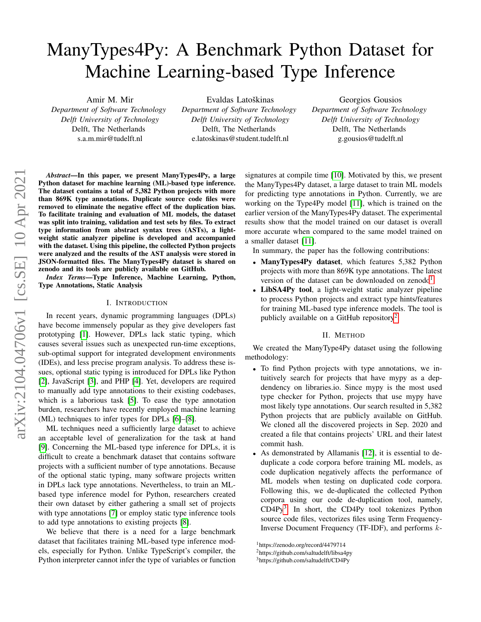# ManyTypes4Py: A Benchmark Python Dataset for Machine Learning-based Type Inference

Amir M. Mir *Department of Software Technology Delft University of Technology* Delft, The Netherlands s.a.m.mir@tudelft.nl

Evaldas Latoškinas *Department of Software Technology Delft University of Technology* Delft, The Netherlands e.latoskinas@student.tudelft.nl

Georgios Gousios *Department of Software Technology Delft University of Technology* Delft, The Netherlands g.gousios@tudelft.nl

*Abstract*—In this paper, we present ManyTypes4Py, a large Python dataset for machine learning (ML)-based type inference. The dataset contains a total of 5,382 Python projects with more than 869K type annotations. Duplicate source code files were removed to eliminate the negative effect of the duplication bias. To facilitate training and evaluation of ML models, the dataset was split into training, validation and test sets by files. To extract type information from abstract syntax trees (ASTs), a lightweight static analyzer pipeline is developed and accompanied with the dataset. Using this pipeline, the collected Python projects were analyzed and the results of the AST analysis were stored in JSON-formatted files. The ManyTypes4Py dataset is shared on zenodo and its tools are publicly available on GitHub.

*Index Terms*—Type Inference, Machine Learning, Python, Type Annotations, Static Analysis

# I. INTRODUCTION

In recent years, dynamic programming languages (DPLs) have become immensely popular as they give developers fast prototyping [\[1\]](#page-4-0). However, DPLs lack static typing, which causes several issues such as unexpected run-time exceptions, sub-optimal support for integrated development environments (IDEs), and less precise program analysis. To address these issues, optional static typing is introduced for DPLs like Python [\[2\]](#page-4-1), JavaScript [\[3\]](#page-4-2), and PHP [\[4\]](#page-4-3). Yet, developers are required to manually add type annotations to their existing codebases, which is a laborious task [\[5\]](#page-4-4). To ease the type annotation burden, researchers have recently employed machine learning (ML) techniques to infer types for DPLs [\[6\]](#page-4-5)–[\[8\]](#page-4-6).

ML techniques need a sufficiently large dataset to achieve an acceptable level of generalization for the task at hand [\[9\]](#page-4-7). Concerning the ML-based type inference for DPLs, it is difficult to create a benchmark dataset that contains software projects with a sufficient number of type annotations. Because of the optional static typing, many software projects written in DPLs lack type annotations. Nevertheless, to train an MLbased type inference model for Python, researchers created their own dataset by either gathering a small set of projects with type annotations [\[7\]](#page-4-8) or employ static type inference tools to add type annotations to existing projects [\[8\]](#page-4-6).

We believe that there is a need for a large benchmark dataset that facilitates training ML-based type inference models, especially for Python. Unlike TypeScript's compiler, the Python interpreter cannot infer the type of variables or function signatures at compile time [\[10\]](#page-4-9). Motivated by this, we present the ManyTypes4Py dataset, a large dataset to train ML models for predicting type annotations in Python. Currently, we are working on the Type4Py model [\[11\]](#page-4-10), which is trained on the earlier version of the ManyTypes4Py dataset. The experimental results show that the model trained on our dataset is overall more accurate when compared to the same model trained on a smaller dataset [\[11\]](#page-4-10).

In summary, the paper has the following contributions:

- ManyTypes4Py dataset, which features 5,382 Python projects with more than 869K type annotations. The latest version of the dataset can be downloaded on zenodo<sup>[1](#page-0-0)</sup>.
- LibSA4Py tool, a light-weight static analyzer pipeline to process Python projects and extract type hints/features for training ML-based type inference models. The tool is publicly available on a GitHub repository<sup>[2](#page-0-1)</sup>.

# II. METHOD

<span id="page-0-3"></span>We created the ManyType4Py dataset using the following methodology:

- To find Python projects with type annotations, we intuitively search for projects that have mypy as a depdendency on libraries.io. Since mypy is the most used type checker for Python, projects that use mypy have most likely type annotations. Our search resulted in 5,382 Python projects that are publicly available on GitHub. We cloned all the discovered projects in Sep. 2020 and created a file that contains projects' URL and their latest commit hash.
- As demonstrated by Allamanis [\[12\]](#page-4-11), it is essential to deduplicate a code corpora before training ML models, as code duplication negatively affects the performance of ML models when testing on duplicated code corpora. Following this, we de-duplicated the collected Python corpora using our code de-duplication tool, namely, CD4Py<sup>[3](#page-0-2)</sup>. In short, the CD4Py tool tokenizes Python source code files, vectorizes files using Term Frequency-Inverse Document Frequency (TF-IDF), and performs k-

<span id="page-0-1"></span><span id="page-0-0"></span><sup>1</sup>https://zenodo.org/record/4479714

<sup>2</sup>https://github.com/saltudelft/libsa4py

<span id="page-0-2"></span><sup>3</sup>https://github.com/saltudelft/CD4Py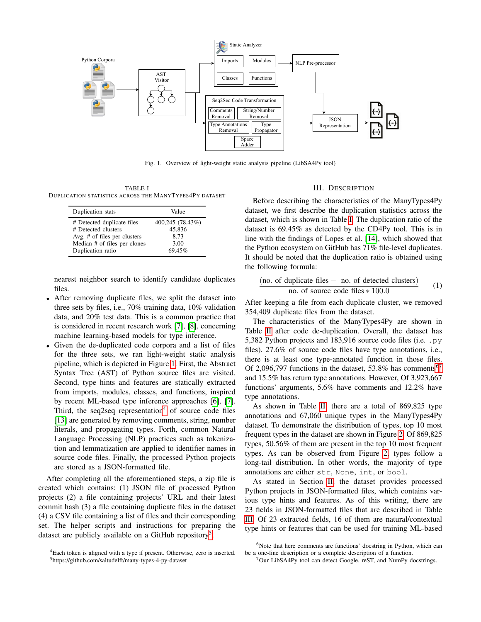

<span id="page-1-0"></span>Fig. 1. Overview of light-weight static analysis pipeline (LibSA4Py tool)

<span id="page-1-3"></span>TABLE I DUPLICATION STATISTICS ACROSS THE MANYTYPES4PY DATASET

| Duplication stats            | Value            |
|------------------------------|------------------|
| # Detected duplicate files   | 400,245 (78.43%) |
| # Detected clusters          | 45.836           |
| Avg. # of files per clusters | 8.73             |
| Median # of files per clones | 3.00             |
| Duplication ratio            | 69.45%           |

nearest neighbor search to identify candidate duplicates files.

- After removing duplicate files, we split the dataset into three sets by files, i.e., 70% training data, 10% validation data, and 20% test data. This is a common practice that is considered in recent research work [\[7\]](#page-4-8), [\[8\]](#page-4-6), concerning machine learning-based models for type inference.
- Given the de-duplicated code corpora and a list of files for the three sets, we ran light-weight static analysis pipeline, which is depicted in Figure [1.](#page-1-0) First, the Abstract Syntax Tree (AST) of Python source files are visited. Second, type hints and features are statically extracted from imports, modules, classes, and functions, inspired by recent ML-based type inference approaches [\[6\]](#page-4-5), [\[7\]](#page-4-8). Third, the seq2seq representation<sup>[4](#page-1-1)</sup> of source code files [\[13\]](#page-4-12) are generated by removing comments, string, number literals, and propagating types. Forth, common Natural Language Processing (NLP) practices such as tokenization and lemmatization are applied to identifier names in source code files. Finally, the processed Python projects are stored as a JSON-formatted file.

After completing all the aforementioned steps, a zip file is created which contains: (1) JSON file of processed Python projects (2) a file containing projects' URL and their latest commit hash (3) a file containing duplicate files in the dataset (4) a CSV file containing a list of files and their corresponding set. The helper scripts and instructions for preparing the dataset are publicly available on a GitHub repository<sup>[5](#page-1-2)</sup>.

#### III. DESCRIPTION

Before describing the characteristics of the ManyTypes4Py dataset, we first describe the duplication statistics across the dataset, which is shown in Table [I.](#page-1-3) The duplication ratio of the dataset is 69.45% as detected by the CD4Py tool. This is in line with the findings of Lopes et al. [\[14\]](#page-4-13), which showed that the Python ecosystem on GitHub has 71% file-level duplicates. It should be noted that the duplication ratio is obtained using the following formula:

(no. of duplicate files − no. of detected clusters) no. of source code files ∗ 100.0 (1)

After keeping a file from each duplicate cluster, we removed 354,409 duplicate files from the dataset.

The characteristics of the ManyTypes4Py are shown in Table [II](#page-1-3) after code de-duplication. Overall, the dataset has 5,382 Python projects and 183,916 source code files (i.e. .py files). 27.6% of source code files have type annotations, i.e., there is at least one type-annotated function in those files. Of 2,09[6](#page-1-4),[7](#page-1-5)97 functions in the dataset,  $53.8\%$  has comments<sup>67</sup> and 15.5% has return type annotations. However, Of 3,923,667 functions' arguments, 5.6% have comments and 12.2% have type annotations.

As shown in Table [II,](#page-1-3) there are a total of 869,825 type annotations and 67,060 unique types in the ManyTypes4Py dataset. To demonstrate the distribution of types, top 10 most frequent types in the dataset are shown in Figure [2.](#page-2-0) Of 869,825 types, 50.56% of them are present in the top 10 most frequent types. As can be observed from Figure [2,](#page-2-0) types follow a long-tail distribution. In other words, the majority of type annotations are either str, None, int, or bool.

As stated in Section [II,](#page-0-3) the dataset provides processed Python projects in JSON-formatted files, which contains various type hints and features. As of this writing, there are 23 fields in JSON-formatted files that are described in Table [III.](#page-3-0) Of 23 extracted fields, 16 of them are natural/contextual type hints or features that can be used for training ML-based

<span id="page-1-2"></span><span id="page-1-1"></span><sup>4</sup>Each token is aligned with a type if present. Otherwise, zero is inserted. <sup>5</sup>https://github.com/saltudelft/many-types-4-py-dataset

<span id="page-1-4"></span> $6$ Note that here comments are functions' docstring in Python, which can be a one-line description or a complete description of a function.

<span id="page-1-5"></span> $7$ Our LibSA4Py tool can detect Google, reST, and NumPy docstrings.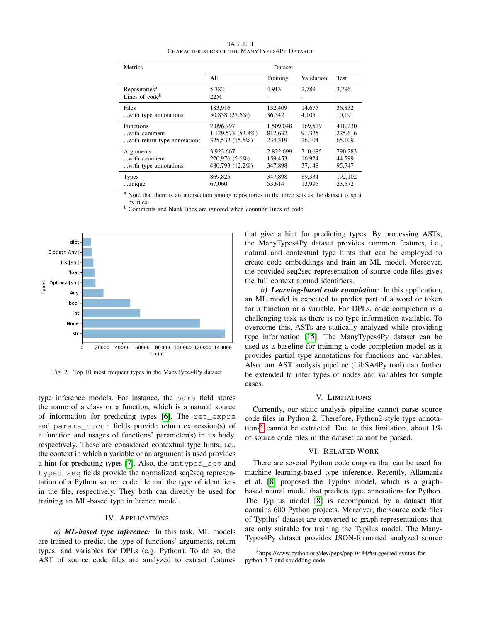| <b>Metrics</b>                                          | Dataset           |           |            |             |
|---------------------------------------------------------|-------------------|-----------|------------|-------------|
|                                                         | All               | Training  | Validation | <b>Test</b> |
| Repositories <sup>a</sup><br>Lines of code <sup>b</sup> | 5.382<br>22M      | 4.913     | 2.789      | 3,796       |
| Files                                                   | 183.916           | 132,409   | 14.675     | 36.832      |
| with type annotations                                   | 50,838 (27.6%)    | 36,542    | 4.105      | 10.191      |
| <b>Functions</b>                                        | 2,096,797         | 1,509,048 | 169.519    | 418,230     |
| with comment                                            | 1,129,573 (53.8%) | 812.632   | 91.325     | 225.616     |
| with return type annotations                            | 325,532 (15.5%)   | 234.319   | 26,104     | 65.109      |
| Arguments                                               | 3,923,667         | 2,822,699 | 310,685    | 790,283     |
| with comment                                            | 220,976 (5.6%)    | 159,453   | 16.924     | 44.599      |
| with type annotations.                                  | 480,793 (12.2%)   | 347,898   | 37,148     | 95,747      |
| <b>Types</b>                                            | 869,825           | 347,898   | 89.334     | 192,102     |
| unique                                                  | 67,060            | 53.614    | 13.995     | 23.572      |

TABLE II CHARACTERISTICS OF THE MANYTYPES4PY DATASET

<sup>a</sup> Note that there is an intersection among repositories in the three sets as the dataset is split

by files.

<sup>b</sup> Comments and blank lines are ignored when counting lines of code.



<span id="page-2-0"></span>Fig. 2. Top 10 most frequent types in the ManyTypes4Py dataset

type inference models. For instance, the name field stores the name of a class or a function, which is a natural source of information for predicting types [\[6\]](#page-4-5). The ret\_exprs and params\_occur fields provide return expression(s) of a function and usages of functions' parameter(s) in its body, respectively. These are considered contextual type hints, i.e., the context in which a variable or an argument is used provides a hint for predicting types [\[7\]](#page-4-8). Also, the untyped\_seq and typed seq fields provide the normalized seq2seq representation of a Python source code file and the type of identifiers in the file, respectively. They both can directly be used for training an ML-based type inference model.

# IV. APPLICATIONS

*a) ML-based type inference:* In this task, ML models are trained to predict the type of functions' arguments, return types, and variables for DPLs (e.g. Python). To do so, the AST of source code files are analyzed to extract features that give a hint for predicting types. By processing ASTs, the ManyTypes4Py dataset provides common features, i.e., natural and contextual type hints that can be employed to create code embeddings and train an ML model. Moreover, the provided seq2seq representation of source code files gives the full context around identifiers.

*b) Learning-based code completion:* In this application, an ML model is expected to predict part of a word or token for a function or a variable. For DPLs, code completion is a challenging task as there is no type information available. To overcome this, ASTs are statically analyzed while providing type information [\[15\]](#page-4-14). The ManyTypes4Py dataset can be used as a baseline for training a code completion model as it provides partial type annotations for functions and variables. Also, our AST analysis pipeline (LibSA4Py tool) can further be extended to infer types of nodes and variables for simple cases.

#### V. LIMITATIONS

Currently, our static analysis pipeline cannot parse source code files in Python 2. Therefore, Python2-style type annota-tions<sup>[8](#page-2-1)</sup> cannot be extracted. Due to this limitation, about  $1\%$ of source code files in the dataset cannot be parsed.

### VI. RELATED WORK

There are several Python code corpora that can be used for machine learning-based type inference. Recently, Allamanis et al. [\[8\]](#page-4-6) proposed the Typilus model, which is a graphbased neural model that predicts type annotations for Python. The Typilus model [\[8\]](#page-4-6) is accompanied by a dataset that contains 600 Python projects. Moreover, the source code files of Typilus' dataset are converted to graph representations that are only suitable for training the Typilus model. The Many-Types4Py dataset provides JSON-formatted analyzed source

<span id="page-2-1"></span><sup>8</sup>https://www.python.org/dev/peps/pep-0484/#suggested-syntax-forpython-2-7-and-straddling-code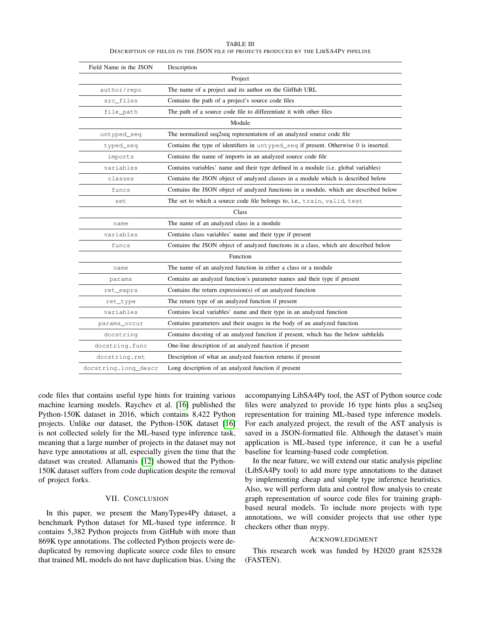| TABLE III                                                                            |  |
|--------------------------------------------------------------------------------------|--|
| DESCRIPTION OF FIELDS IN THE JSON FILE OF PROJECTS PRODUCED BY THE LIBSA4PY PIPELINE |  |

<span id="page-3-0"></span>

| Field Name in the JSON | Description                                                                           |  |  |  |
|------------------------|---------------------------------------------------------------------------------------|--|--|--|
| Project                |                                                                                       |  |  |  |
| author/repo            | The name of a project and its author on the GitHub URL                                |  |  |  |
| src_files              | Contains the path of a project's source code files                                    |  |  |  |
| file_path              | The path of a source code file to differentiate it with other files                   |  |  |  |
| Module                 |                                                                                       |  |  |  |
| untyped_seq            | The normalized seq2seq representation of an analyzed source code file                 |  |  |  |
| typed_seq              | Contains the type of identifiers in untyped_seq if present. Otherwise 0 is inserted.  |  |  |  |
| imports                | Contains the name of imports in an analyzed source code file                          |  |  |  |
| variables              | Contains variables' name and their type defined in a module (i.e. global variables)   |  |  |  |
| classes                | Contains the JSON object of analyzed classes in a module which is described below     |  |  |  |
| funcs                  | Contains the JSON object of analyzed functions in a module, which are described below |  |  |  |
| set                    | The set to which a source code file belongs to, i.e., train, valid, test              |  |  |  |
|                        | Class                                                                                 |  |  |  |
| name                   | The name of an analyzed class in a module                                             |  |  |  |
| variables              | Contains class variables' name and their type if present                              |  |  |  |
| funcs                  | Contains the JSON object of analyzed functions in a class, which are described below  |  |  |  |
| Function               |                                                                                       |  |  |  |
| name                   | The name of an analyzed function in either a class or a module                        |  |  |  |
| params                 | Contains an analyzed function's parameter names and their type if present             |  |  |  |
| ret_exprs              | Contains the return expression(s) of an analyzed function                             |  |  |  |
| ret_type               | The return type of an analyzed function if present                                    |  |  |  |
| variables              | Contains local variables' name and their type in an analyzed function                 |  |  |  |
| params_occur           | Contains parameters and their usages in the body of an analyzed function              |  |  |  |
| docstring              | Contains doesting of an analyzed function if present, which has the below subfields   |  |  |  |
| docstring.func         | One-line description of an analyzed function if present                               |  |  |  |
| docstring.ret          | Description of what an analyzed function returns if present                           |  |  |  |
| docstring.long_descr   | Long description of an analyzed function if present                                   |  |  |  |

code files that contains useful type hints for training various machine learning models. Raychev et al. [\[16\]](#page-4-15) published the Python-150K dataset in 2016, which contains 8,422 Python projects. Unlike our dataset, the Python-150K dataset [\[16\]](#page-4-15) is not collected solely for the ML-based type inference task, meaning that a large number of projects in the dataset may not have type annotations at all, especially given the time that the dataset was created. Allamanis [\[12\]](#page-4-11) showed that the Python-150K dataset suffers from code duplication despite the removal of project forks.

### VII. CONCLUSION

In this paper, we present the ManyTypes4Py dataset, a benchmark Python dataset for ML-based type inference. It contains 5,382 Python projects from GitHub with more than 869K type annotations. The collected Python projects were deduplicated by removing duplicate source code files to ensure that trained ML models do not have duplication bias. Using the

accompanying LibSA4Py tool, the AST of Python source code files were analyzed to provide 16 type hints plus a seq2seq representation for training ML-based type inference models. For each analyzed project, the result of the AST analysis is saved in a JSON-formatted file. Although the dataset's main application is ML-based type inference, it can be a useful baseline for learning-based code completion.

In the near future, we will extend our static analysis pipeline (LibSA4Py tool) to add more type annotations to the dataset by implementing cheap and simple type inference heuristics. Also, we will perform data and control flow analysis to create graph representation of source code files for training graphbased neural models. To include more projects with type annotations, we will consider projects that use other type checkers other than mypy.

### ACKNOWLEDGMENT

This research work was funded by H2020 grant 825328 (FASTEN).